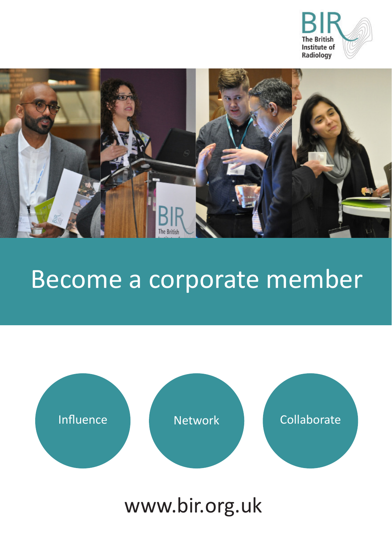



## Become a corporate member



www.bir.org.uk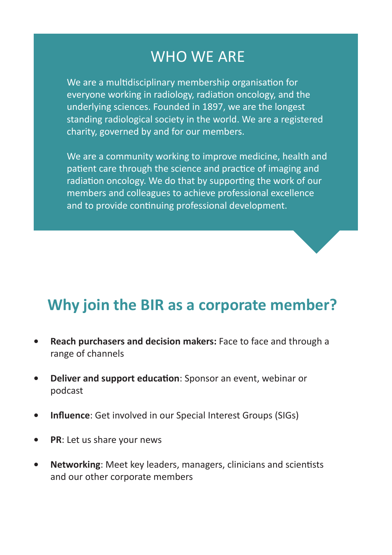## WHO WE ARE

We are a multidisciplinary membership organisation for everyone working in radiology, radiation oncology, and the underlying sciences. Founded in 1897, we are the longest standing radiological society in the world. We are a registered charity, governed by and for our members.

We are a community working to improve medicine, health and patient care through the science and practice of imaging and radiation oncology. We do that by supporting the work of our members and colleagues to achieve professional excellence and to provide continuing professional development.

## **Why join the BIR as a corporate member?**

- **• Reach purchasers and decision makers:** Face to face and through a range of channels
- **• Deliver and support education**: Sponsor an event, webinar or podcast
- **• Influence**: Get involved in our Special Interest Groups (SIGs)
- **• PR**: Let us share your news
- **• Networking**: Meet key leaders, managers, clinicians and scientists and our other corporate members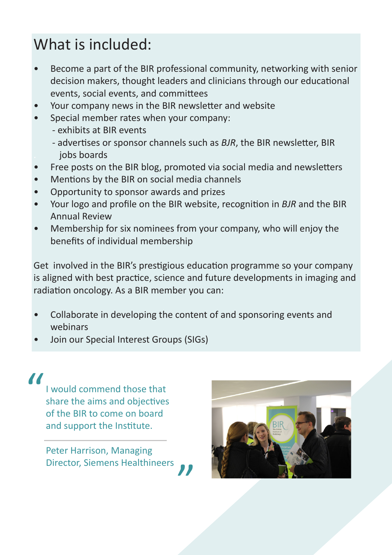## What is included:

- Become a part of the BIR professional community, networking with senior decision makers, thought leaders and clinicians through our educational events, social events, and committees
- Your company news in the BIR newsletter and website
- Special member rates when your company:
	- exhibits at BIR events
	- advertises or sponsor channels such as *BJR*, the BIR newsletter, BIR . jobs boards
- Free posts on the BIR blog, promoted via social media and newsletters
- Mentions by the BIR on social media channels
- Opportunity to sponsor awards and prizes
- Your logo and profile on the BIR website, recognition in *BJR* and the BIR Annual Review
- Membership for six nominees from your company, who will enjoy the benefits of individual membership

Get involved in the BIR's prestigious education programme so your company is aligned with best practice, science and future developments in imaging and radiation oncology. As a BIR member you can:

- Collaborate in developing the content of and sponsoring events and webinars
- Join our Special Interest Groups (SIGs)

I would commend those that share the aims and objectives of the BIR to come on board and support the Institute. "

> Peter Harrison, Managing Director, Siemens Healthineers "